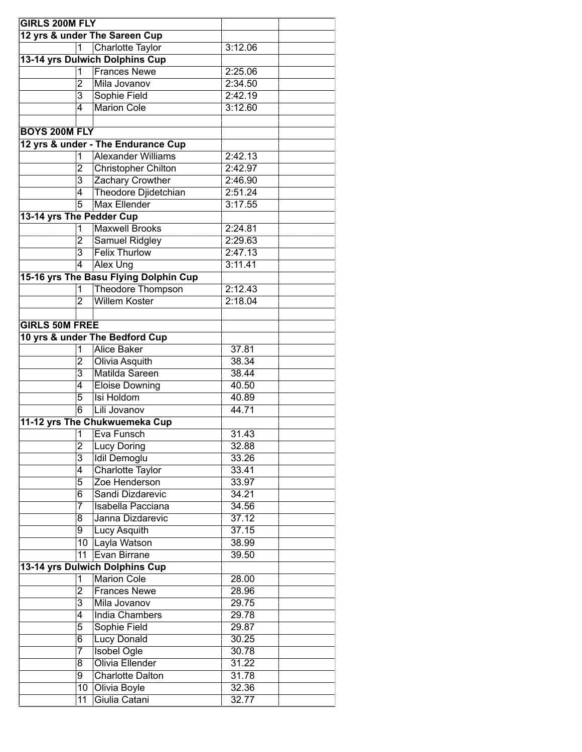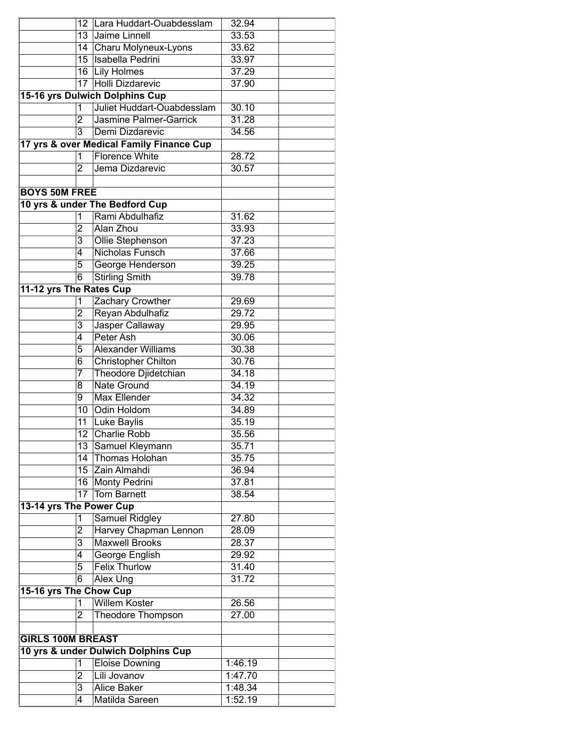|                          | 12 <sup>°</sup>     | Lara Huddart-Ouabdesslam                                          | 32.94          |  |
|--------------------------|---------------------|-------------------------------------------------------------------|----------------|--|
|                          | $\overline{13}$     | Jaime Linnell                                                     | 33.53          |  |
|                          |                     | 14 Charu Molyneux-Lyons                                           | 33.62          |  |
|                          | 15                  | Isabella Pedrini                                                  | 33.97          |  |
|                          |                     | 16 Lily Holmes                                                    | 37.29          |  |
|                          | $\overline{17}$     | Holli Dizdarevic                                                  | 37.90          |  |
|                          |                     | <b>15-16 yrs Dulwich Dolphins Cup</b>                             |                |  |
|                          | 1                   | Juliet Huddart-Ouabdesslam                                        | 30.10          |  |
|                          | 2                   | <b>Jasmine Palmer-Garrick</b>                                     | 31.28          |  |
|                          | $\overline{3}$      | Demi Dizdarevic                                                   | 34.56          |  |
|                          |                     | 17 yrs & over Medical Family Finance Cup<br><b>Florence White</b> |                |  |
|                          | 1<br>$\overline{2}$ |                                                                   | 28.72          |  |
|                          |                     | Jema Dizdarevic                                                   | 30.57          |  |
| <b>BOYS 50M FREE</b>     |                     |                                                                   |                |  |
|                          |                     |                                                                   |                |  |
|                          | 1                   | 10 yrs & under The Bedford Cup<br>Rami Abdulhafiz                 |                |  |
|                          |                     |                                                                   | 31.62<br>33.93 |  |
|                          | 2<br>3              | Alan Zhou                                                         | 37.23          |  |
|                          | 4                   | Ollie Stephenson<br>Nicholas Funsch                               | 37.66          |  |
|                          | 5                   | George Henderson                                                  | 39.25          |  |
|                          | $\overline{6}$      | <b>Stirling Smith</b>                                             | 39.78          |  |
| 11-12 yrs The Rates Cup  |                     |                                                                   |                |  |
|                          | 1                   | Zachary Crowther                                                  | 29.69          |  |
|                          | 2                   | Reyan Abdulhafiz                                                  | 29.72          |  |
|                          | $\overline{3}$      | Jasper Callaway                                                   | 29.95          |  |
|                          | $\overline{4}$      | Peter Ash                                                         | 30.06          |  |
|                          | 5                   | <b>Alexander Williams</b>                                         | 30.38          |  |
|                          | 6                   | <b>Christopher Chilton</b>                                        | 30.76          |  |
|                          | 7                   | Theodore Djidetchian                                              | 34.18          |  |
|                          | 8                   | <b>Nate Ground</b>                                                | 34.19          |  |
|                          | 9                   | <b>Max Ellender</b>                                               | 34.32          |  |
|                          | 10                  | <b>Odin Holdom</b>                                                | 34.89          |  |
|                          | 11                  | Luke Baylis                                                       | 35.19          |  |
|                          | 12                  | Charlie Robb                                                      | 35.56          |  |
|                          | 13                  | Samuel Kleymann                                                   | 35.71          |  |
|                          | 14                  | Thomas Holohan                                                    | 35.75          |  |
|                          | 15                  | Zain Almahdi                                                      | 36.94          |  |
|                          | 16                  | Monty Pedrini                                                     | 37.81          |  |
|                          | $\overline{17}$     | <b>Tom Barnett</b>                                                | 38.54          |  |
| 13-14 yrs The Power Cup  |                     |                                                                   |                |  |
|                          | 1                   | Samuel Ridgley                                                    | 27.80          |  |
|                          | 2                   | Harvey Chapman Lennon                                             | 28.09          |  |
|                          | 3                   | <b>Maxwell Brooks</b>                                             | 28.37          |  |
|                          | 4                   | <b>George English</b>                                             | 29.92          |  |
|                          | 5                   | <b>Felix Thurlow</b>                                              | 31.40          |  |
|                          | 6                   | <b>Alex Ung</b>                                                   | 31.72          |  |
| 15-16 yrs The Chow Cup   |                     |                                                                   |                |  |
|                          | 1                   | <b>Willem Koster</b>                                              | 26.56          |  |
|                          | 2                   | <b>Theodore Thompson</b>                                          | 27.00          |  |
| <b>GIRLS 100M BREAST</b> |                     |                                                                   |                |  |
|                          |                     | 10 yrs & under Dulwich Dolphins Cup                               |                |  |
|                          | 1                   | <b>Eloise Downing</b>                                             | 1:46.19        |  |
|                          | 2                   | Lili Jovanov                                                      | 1:47.70        |  |
|                          | 3                   | <b>Alice Baker</b>                                                | 1:48.34        |  |
|                          | 4                   | Matilda Sareen                                                    | 1:52.19        |  |
|                          |                     |                                                                   |                |  |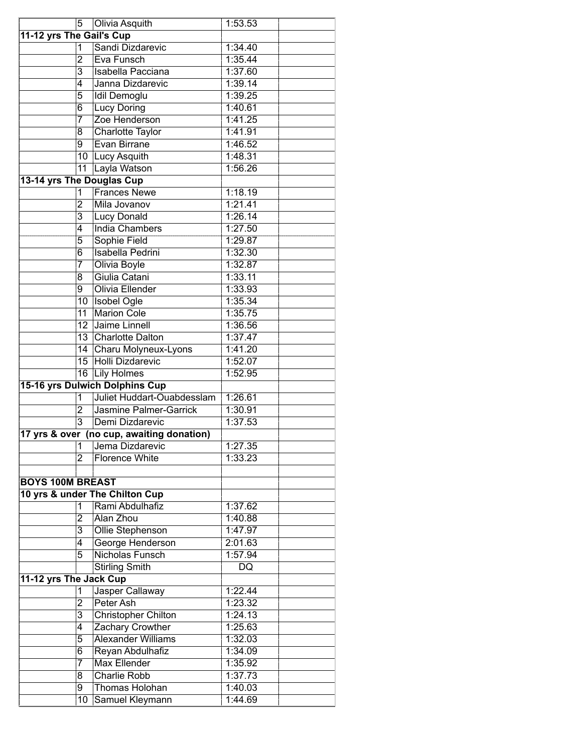|                           | 5                   | Olivia Asquith                            | 1:53.53         |
|---------------------------|---------------------|-------------------------------------------|-----------------|
| 11-12 yrs The Gail's Cup  |                     |                                           |                 |
|                           | 1                   | Sandi Dizdarevic                          | 1:34.40         |
|                           | $\overline{2}$      | Eva Funsch                                | 1:35.44         |
|                           | 3                   | Isabella Pacciana                         | 1:37.60         |
|                           | 4                   | Janna Dizdarevic                          | 1:39.14         |
|                           | 5                   | <b>Idil Demoglu</b>                       | 1:39.25         |
|                           | 6                   | <b>Lucy Doring</b>                        | 1:40.61         |
|                           | 7                   | Zoe Henderson                             | 1:41.25         |
|                           | 8                   | <b>Charlotte Taylor</b>                   | 1:41.91         |
|                           | 9                   | Evan Birrane                              | 1:46.52         |
|                           |                     | 10 Lucy Asquith                           | 1:48.31         |
|                           | $\overline{11}$     | Layla Watson                              | 1:56.26         |
| 13-14 yrs The Douglas Cup |                     |                                           |                 |
|                           | 1                   | <b>Frances Newe</b>                       | 1:18.19         |
|                           | $\overline{2}$      | Mila Jovanov                              | 1:21.41         |
|                           | 3                   | <b>Lucy Donald</b>                        | 1:26.14         |
|                           | 4                   | <b>India Chambers</b>                     | 1:27.50         |
|                           | 5                   | Sophie Field                              | 1:29.87         |
|                           | 6                   | <b>Isabella Pedrini</b>                   | 1:32.30         |
|                           | 7                   | Olivia Boyle                              | 1:32.87         |
|                           | 8                   | Giulia Catani                             | 1:33.11         |
|                           | 9                   | <b>Olivia Ellender</b>                    | 1:33.93         |
|                           | 10                  | <b>Isobel Ogle</b>                        | 1:35.34         |
|                           | 11                  | <b>Marion Cole</b>                        | 1:35.75         |
|                           | 12                  | Jaime Linnell                             | 1:36.56         |
|                           | 13                  | <b>Charlotte Dalton</b>                   | 1:37.47         |
|                           | 14                  | Charu Molyneux-Lyons                      | 1:41.20         |
|                           | 15                  | <b>Holli Dizdarevic</b>                   | 1:52.07         |
|                           | 16                  | <b>Lily Holmes</b>                        | 1:52.95         |
|                           |                     | <b>15-16 yrs Dulwich Dolphins Cup</b>     |                 |
|                           | 1                   | Juliet Huddart-Ouabdesslam                | 1:26.61         |
|                           | $\overline{2}$      | <b>Jasmine Palmer-Garrick</b>             | 1:30.91         |
|                           | $\overline{3}$      | Demi Dizdarevic                           | 1:37.53         |
|                           |                     | 17 yrs & over (no cup, awaiting donation) |                 |
|                           |                     | Jema Dizdarevic                           | 1:27.35         |
|                           | 1<br>$\overline{2}$ | <b>Florence White</b>                     | 1:33.23         |
|                           |                     |                                           |                 |
| <b>BOYS 100M BREAST</b>   |                     |                                           |                 |
|                           |                     | 10 yrs & under The Chilton Cup            |                 |
|                           | 1                   | Rami Abdulhafiz                           | 1:37.62         |
|                           | 2                   | Alan Zhou                                 | 1:40.88         |
|                           | 3                   | Ollie Stephenson                          | 1:47.97         |
|                           | 4                   | George Henderson                          | 2:01.63         |
|                           | 5                   | Nicholas Funsch                           | 1:57.94         |
|                           |                     | <b>Stirling Smith</b>                     | $\overline{DQ}$ |
|                           |                     |                                           |                 |
| 11-12 yrs The Jack Cup    |                     |                                           | 1:22.44         |
|                           | 1                   | Jasper Callaway<br>Peter Ash              | 1:23.32         |
|                           | 2                   |                                           | 1:24.13         |
|                           | $\overline{3}$      | <b>Christopher Chilton</b>                |                 |
|                           | 4                   | Zachary Crowther                          | 1:25.63         |
|                           | 5                   | <b>Alexander Williams</b>                 | 1:32.03         |
|                           | 6                   | Reyan Abdulhafiz                          | 1:34.09         |
|                           | 7                   | <b>Max Ellender</b>                       | 1:35.92         |
|                           | 8                   | <b>Charlie Robb</b>                       | 1:37.73         |
|                           | 9                   | Thomas Holohan                            | 1:40.03         |
|                           | 10                  | Samuel Kleymann                           | 1:44.69         |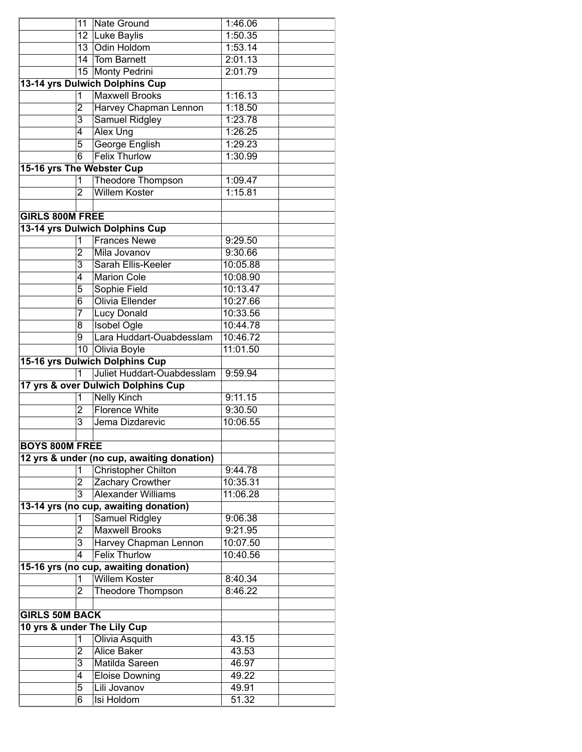|                           | 11                      | Nate Ground                                    | 1:46.06  |  |
|---------------------------|-------------------------|------------------------------------------------|----------|--|
|                           |                         | 12 Luke Baylis                                 | 1:50.35  |  |
|                           | 13                      | Odin Holdom                                    | 1:53.14  |  |
|                           | 14                      | <b>Tom Barnett</b>                             | 2:01.13  |  |
|                           | 15 <sub>15</sub>        | Monty Pedrini                                  | 2:01.79  |  |
|                           |                         | 13-14 yrs Dulwich Dolphins Cup                 |          |  |
|                           | 1                       | <b>Maxwell Brooks</b>                          | 1:16.13  |  |
|                           | $\overline{2}$          | Harvey Chapman Lennon                          | 1:18.50  |  |
|                           | $\overline{\mathbf{3}}$ | <b>Samuel Ridgley</b>                          | 1:23.78  |  |
|                           | 4                       | Alex Ung                                       | 1:26.25  |  |
|                           | 5                       | George English                                 | 1:29.23  |  |
|                           | 6                       | <b>Felix Thurlow</b>                           | 1:30.99  |  |
| 15-16 yrs The Webster Cup |                         |                                                |          |  |
|                           | 1                       | Theodore Thompson                              | 1:09.47  |  |
|                           | $\overline{2}$          | <b>Willem Koster</b>                           | 1:15.81  |  |
|                           |                         |                                                |          |  |
| <b>GIRLS 800M FREE</b>    |                         |                                                |          |  |
|                           |                         | 13-14 yrs Dulwich Dolphins Cup                 |          |  |
|                           | 1                       | <b>Frances Newe</b>                            | 9:29.50  |  |
|                           | 2                       | Mila Jovanov                                   | 9:30.66  |  |
|                           | 3                       | Sarah Ellis-Keeler                             | 10:05.88 |  |
|                           | 4                       | <b>Marion Cole</b>                             | 10:08.90 |  |
|                           | 5                       | Sophie Field                                   | 10:13.47 |  |
|                           | 6                       | Olivia Ellender                                | 10:27.66 |  |
|                           | 7                       | <b>Lucy Donald</b>                             | 10:33.56 |  |
|                           | 8                       | <b>Isobel Ogle</b>                             | 10:44.78 |  |
|                           | $\overline{9}$          | Lara Huddart-Ouabdesslam                       | 10:46.72 |  |
|                           | 10                      | Olivia Boyle                                   | 11:01.50 |  |
|                           |                         | <b>15-16 yrs Dulwich Dolphins Cup</b>          |          |  |
|                           | 1                       | Juliet Huddart-Ouabdesslam                     | 9:59.94  |  |
|                           |                         | 17 yrs & over Dulwich Dolphins Cup             |          |  |
|                           | 1                       | <b>Nelly Kinch</b>                             | 9:11.15  |  |
|                           | $\overline{2}$          | <b>Florence White</b>                          | 9:30.50  |  |
|                           | $\overline{3}$          | Jema Dizdarevic                                | 10:06.55 |  |
|                           |                         |                                                |          |  |
| <b>BOYS 800M FREE</b>     |                         |                                                |          |  |
|                           |                         | 12 yrs & under (no cup, awaiting donation)     | 9:44.78  |  |
|                           | 1                       | <b>Christopher Chilton</b><br>Zachary Crowther | 10:35.31 |  |
|                           | 2<br>$\overline{3}$     | <b>Alexander Williams</b>                      | 11:06.28 |  |
|                           |                         | 13-14 yrs (no cup, awaiting donation)          |          |  |
|                           | $\overline{1}$          | Samuel Ridgley                                 | 9:06.38  |  |
|                           | 2                       | <b>Maxwell Brooks</b>                          | 9:21.95  |  |
|                           | 3                       | Harvey Chapman Lennon                          | 10:07.50 |  |
|                           |                         | <b>Felix Thurlow</b>                           | 10:40.56 |  |
|                           |                         | 15-16 yrs (no cup, awaiting donation)          |          |  |
|                           | 1                       | <b>Willem Koster</b>                           | 8:40.34  |  |
|                           | $\overline{2}$          | <b>Theodore Thompson</b>                       | 8:46.22  |  |
|                           |                         |                                                |          |  |
| <b>GIRLS 50M BACK</b>     |                         |                                                |          |  |
|                           |                         | 10 yrs & under The Lily Cup                    |          |  |
|                           | 1                       | Olivia Asquith                                 | 43.15    |  |
|                           | 2                       | Alice Baker                                    | 43.53    |  |
|                           | 3                       | Matilda Sareen                                 | 46.97    |  |
|                           | 4                       | <b>Eloise Downing</b>                          | 49.22    |  |
|                           | 5                       | Lili Jovanov                                   | 49.91    |  |
|                           | 6                       | Isi Holdom                                     | 51.32    |  |
|                           |                         |                                                |          |  |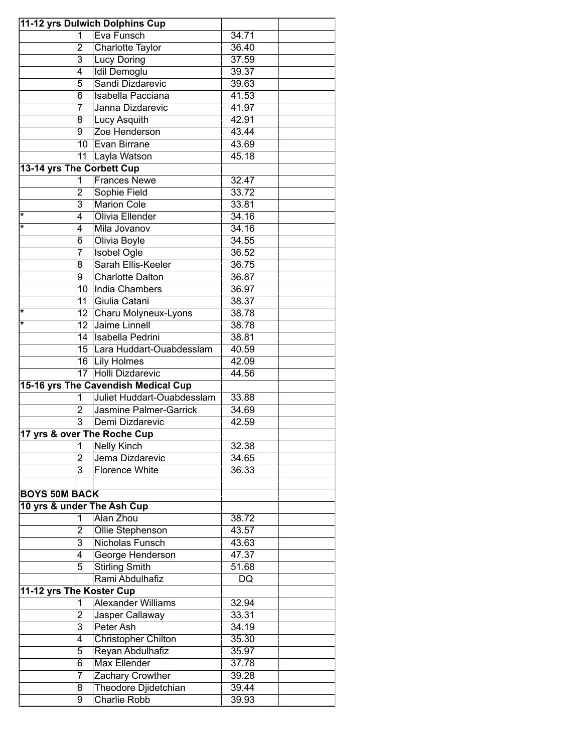| 11-12 yrs Dulwich Dolphins Cup |                      |                                     |       |  |  |  |
|--------------------------------|----------------------|-------------------------------------|-------|--|--|--|
|                                | 1                    | Eva Funsch                          | 34.71 |  |  |  |
|                                | 2                    | Charlotte Taylor                    | 36.40 |  |  |  |
|                                | 3                    | <b>Lucy Doring</b>                  | 37.59 |  |  |  |
|                                | 4                    | <b>Idil Demoglu</b>                 | 39.37 |  |  |  |
|                                | 5                    | Sandi Dizdarevic                    | 39.63 |  |  |  |
|                                | 6                    | Isabella Pacciana                   | 41.53 |  |  |  |
|                                | 7                    | Janna Dizdarevic                    | 41.97 |  |  |  |
|                                | 8                    | Lucy Asquith                        | 42.91 |  |  |  |
|                                | 9                    | Zoe Henderson                       | 43.44 |  |  |  |
|                                |                      | 10 Evan Birrane                     | 43.69 |  |  |  |
|                                | 11                   | Layla Watson                        | 45.18 |  |  |  |
| 13-14 yrs The Corbett Cup      |                      |                                     |       |  |  |  |
|                                | 1                    | <b>Frances Newe</b>                 | 32.47 |  |  |  |
|                                | $\overline{2}$       | Sophie Field                        | 33.72 |  |  |  |
|                                | $\overline{3}$       | <b>Marion Cole</b>                  | 33.81 |  |  |  |
| *                              | $\overline{4}$       | Olivia Ellender                     | 34.16 |  |  |  |
| $\star$                        | 4                    | Mila Jovanov                        | 34.16 |  |  |  |
|                                | 6                    | Olivia Boyle                        | 34.55 |  |  |  |
|                                | 7                    | <b>Isobel Ogle</b>                  | 36.52 |  |  |  |
|                                | 8                    | Sarah Ellis-Keeler                  | 36.75 |  |  |  |
|                                | 9                    | <b>Charlotte Dalton</b>             | 36.87 |  |  |  |
|                                | $\overline{10}$      | India Chambers                      | 36.97 |  |  |  |
|                                | 11                   | Giulia Catani                       | 38.37 |  |  |  |
| *                              | 12 <sup>2</sup>      | Charu Molyneux-Lyons                | 38.78 |  |  |  |
| ÷                              | $\overline{12}$      | Jaime Linnell                       | 38.78 |  |  |  |
|                                | 14                   | Isabella Pedrini                    | 38.81 |  |  |  |
|                                | 15                   | Lara Huddart-Ouabdesslam            | 40.59 |  |  |  |
|                                |                      | 16 Lily Holmes                      | 42.09 |  |  |  |
|                                | 17                   | Holli Dizdarevic                    | 44.56 |  |  |  |
|                                |                      | 15-16 yrs The Cavendish Medical Cup |       |  |  |  |
|                                | 1                    | Juliet Huddart-Ouabdesslam          | 33.88 |  |  |  |
|                                | $\overline{2}$       | Jasmine Palmer-Garrick              | 34.69 |  |  |  |
|                                | $\overline{3}$       | Demi Dizdarevic                     | 42.59 |  |  |  |
|                                |                      | 17 yrs & over The Roche Cup         |       |  |  |  |
|                                |                      | 1 Nelly Kinch                       | 32.38 |  |  |  |
|                                | $\overline{2}$       | Jema Dizdarevic                     | 34.65 |  |  |  |
|                                | $\overline{3}$       | <b>Florence White</b>               | 36.33 |  |  |  |
|                                |                      |                                     |       |  |  |  |
|                                | <b>BOYS 50M BACK</b> |                                     |       |  |  |  |
| 10 yrs & under The Ash Cup     |                      |                                     |       |  |  |  |
|                                | 1                    | Alan Zhou                           | 38.72 |  |  |  |
|                                | 2                    | Ollie Stephenson                    | 43.57 |  |  |  |
|                                | 3                    | <b>Nicholas Funsch</b>              | 43.63 |  |  |  |
|                                | 4                    | George Henderson                    | 47.37 |  |  |  |
|                                | 5                    | <b>Stirling Smith</b>               | 51.68 |  |  |  |
|                                |                      | Rami Abdulhafiz                     | DQ    |  |  |  |
| 11-12 yrs The Koster Cup       |                      |                                     |       |  |  |  |
|                                | 1                    | <b>Alexander Williams</b>           | 32.94 |  |  |  |
|                                | 2                    | Jasper Callaway                     | 33.31 |  |  |  |
|                                | $\overline{3}$       | Peter Ash                           | 34.19 |  |  |  |
|                                | 4                    | <b>Christopher Chilton</b>          | 35.30 |  |  |  |
|                                | 5                    | Reyan Abdulhafiz                    | 35.97 |  |  |  |
|                                | 6                    | <b>Max Ellender</b>                 | 37.78 |  |  |  |
|                                | 7                    | Zachary Crowther                    | 39.28 |  |  |  |
|                                | 8                    | Theodore Djidetchian                | 39.44 |  |  |  |
|                                | 9                    | <b>Charlie Robb</b>                 | 39.93 |  |  |  |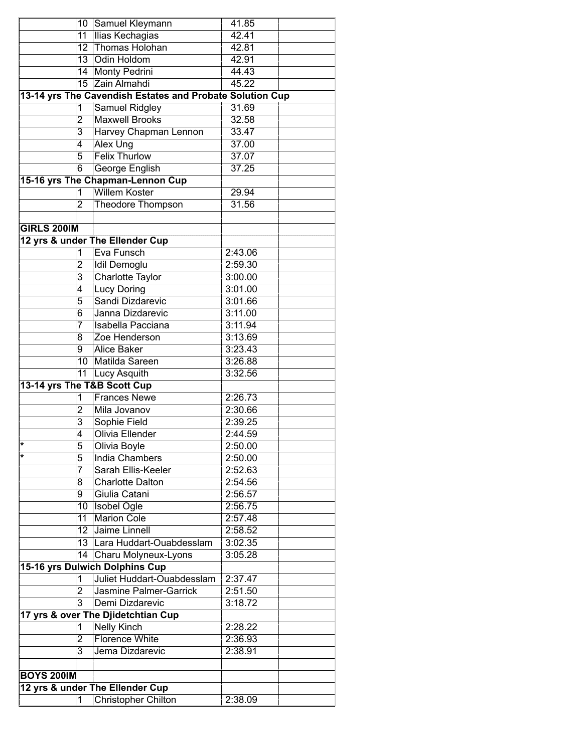|                    |                 | 10 Samuel Kleymann                                       | 41.85   |  |
|--------------------|-----------------|----------------------------------------------------------|---------|--|
|                    | 11              | Ilias Kechagias                                          | 42.41   |  |
|                    | 12              | Thomas Holohan                                           | 42.81   |  |
|                    | 13              | Odin Holdom                                              | 42.91   |  |
|                    | 14              | Monty Pedrini                                            | 44.43   |  |
|                    | $\overline{15}$ | Zain Almahdi                                             | 45.22   |  |
|                    |                 | 13-14 yrs The Cavendish Estates and Probate Solution Cup |         |  |
|                    | 1               | <b>Samuel Ridgley</b>                                    | 31.69   |  |
|                    | $\overline{2}$  | <b>Maxwell Brooks</b>                                    | 32.58   |  |
|                    | $\overline{3}$  | Harvey Chapman Lennon                                    | 33.47   |  |
|                    | 4               | <b>Alex Ung</b>                                          | 37.00   |  |
|                    | 5               | <b>Felix Thurlow</b>                                     | 37.07   |  |
|                    | $\overline{6}$  | George English                                           | 37.25   |  |
|                    |                 | 15-16 yrs The Chapman-Lennon Cup                         |         |  |
|                    | $\mathbf{1}$    | <b>Willem Koster</b>                                     | 29.94   |  |
|                    | $\overline{2}$  | <b>Theodore Thompson</b>                                 | 31.56   |  |
|                    |                 |                                                          |         |  |
| <b>GIRLS 200IM</b> |                 |                                                          |         |  |
|                    |                 | 12 yrs & under The Ellender Cup                          |         |  |
|                    | 1               | Eva Funsch                                               | 2:43.06 |  |
|                    | 2               | <b>Idil Demoglu</b>                                      | 2:59.30 |  |
|                    | $\overline{3}$  | <b>Charlotte Taylor</b>                                  | 3:00.00 |  |
|                    | 4               | <b>Lucy Doring</b>                                       | 3:01.00 |  |
|                    | 5               | Sandi Dizdarevic                                         | 3:01.66 |  |
|                    | 6               | Janna Dizdarevic                                         | 3:11.00 |  |
|                    | 7               | Isabella Pacciana                                        | 3:11.94 |  |
|                    | 8               | Zoe Henderson                                            | 3:13.69 |  |
|                    | 9               | <b>Alice Baker</b>                                       | 3:23.43 |  |
|                    | 10              | Matilda Sareen                                           | 3:26.88 |  |
|                    | 11              | Lucy Asquith                                             | 3:32.56 |  |
|                    |                 | 13-14 yrs The T&B Scott Cup                              |         |  |
|                    | 1               | <b>Frances Newe</b>                                      | 2:26.73 |  |
|                    | 2               | Mila Jovanov                                             | 2:30.66 |  |
|                    | $\overline{3}$  | Sophie Field                                             | 2:39.25 |  |
|                    | 4               | Olivia Ellender                                          | 2:44.59 |  |
|                    | 5               | Olivia Boyle                                             | 2:50.00 |  |
| ¥                  | 5               | <b>India Chambers</b>                                    | 2:50.00 |  |
|                    | 7               | Sarah Ellis-Keeler                                       | 2:52.63 |  |
|                    | 8               | <b>Charlotte Dalton</b>                                  | 2:54.56 |  |
|                    | 9               | Giulia Catani                                            | 2:56.57 |  |
|                    | 10              | <b>Isobel Ogle</b>                                       | 2:56.75 |  |
|                    | 11              | <b>Marion Cole</b>                                       | 2:57.48 |  |
|                    | 12              | Jaime Linnell                                            | 2:58.52 |  |
|                    | 13.             | Lara Huddart-Ouabdesslam                                 | 3:02.35 |  |
|                    | 14              | Charu Molyneux-Lyons                                     | 3:05.28 |  |
|                    |                 | <b>15-16 yrs Dulwich Dolphins Cup</b>                    |         |  |
|                    | 1               | Juliet Huddart-Ouabdesslam                               | 2:37.47 |  |
|                    | $\overline{2}$  | <b>Jasmine Palmer-Garrick</b>                            | 2:51.50 |  |
|                    | $\overline{3}$  | Demi Dizdarevic                                          | 3:18.72 |  |
|                    |                 | 17 yrs & over The Djidetchtian Cup                       |         |  |
|                    | 1               | <b>Nelly Kinch</b>                                       | 2:28.22 |  |
|                    | 2               | <b>Florence White</b>                                    | 2:36.93 |  |
|                    | 3               | Jema Dizdarevic                                          | 2:38.91 |  |
|                    |                 |                                                          |         |  |
| <b>BOYS 200IM</b>  |                 |                                                          |         |  |
|                    |                 | 12 yrs & under The Ellender Cup                          |         |  |
|                    | 1               | <b>Christopher Chilton</b>                               | 2:38.09 |  |